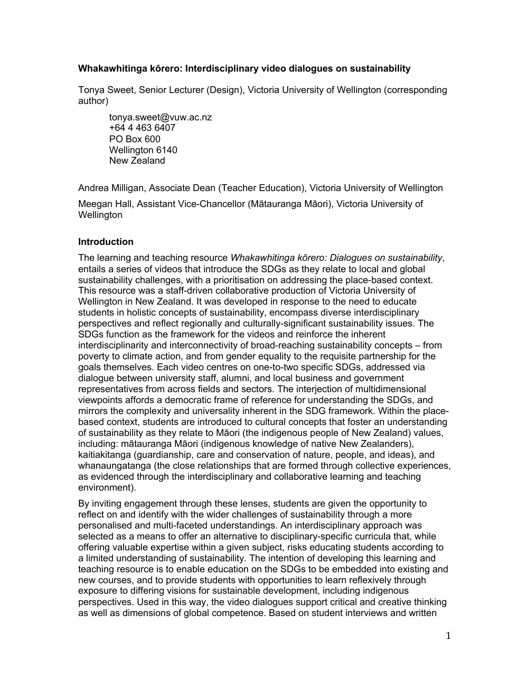## **Whakawhitinga kōrero: Interdisciplinary video dialogues on sustainability**

Tonya Sweet, Senior Lecturer (Design), Victoria University of Wellington (corresponding author)

tonya.sweet@vuw.ac.nz +64 4 463 6407 PO Box 600 Wellington 6140 New Zealand

Andrea Milligan, Associate Dean (Teacher Education), Victoria University of Wellington

Meegan Hall, Assistant Vice-Chancellor (Mātauranga Māori), Victoria University of Wellington

## **Introduction**

The learning and teaching resource *Whakawhitinga kōrero: Dialogues on sustainability*, entails a series of videos that introduce the SDGs as they relate to local and global sustainability challenges, with a prioritisation on addressing the place-based context. This resource was a staff-driven collaborative production of Victoria University of Wellington in New Zealand. It was developed in response to the need to educate students in holistic concepts of sustainability, encompass diverse interdisciplinary perspectives and reflect regionally and culturally-significant sustainability issues. The SDGs function as the framework for the videos and reinforce the inherent interdisciplinarity and interconnectivity of broad-reaching sustainability concepts – from poverty to climate action, and from gender equality to the requisite partnership for the goals themselves. Each video centres on one-to-two specific SDGs, addressed via dialogue between university staff, alumni, and local business and government representatives from across fields and sectors. The interjection of multidimensional viewpoints affords a democratic frame of reference for understanding the SDGs, and mirrors the complexity and universality inherent in the SDG framework. Within the placebased context, students are introduced to cultural concepts that foster an understanding of sustainability as they relate to Māori (the indigenous people of New Zealand) values, including: mātauranga Māori (indigenous knowledge of native New Zealanders), kaitiakitanga (guardianship, care and conservation of nature, people, and ideas), and whanaungatanga (the close relationships that are formed through collective experiences, as evidenced through the interdisciplinary and collaborative learning and teaching environment).

By inviting engagement through these lenses, students are given the opportunity to reflect on and identify with the wider challenges of sustainability through a more personalised and multi-faceted understandings. An interdisciplinary approach was selected as a means to offer an alternative to disciplinary-specific curricula that, while offering valuable expertise within a given subject, risks educating students according to a limited understanding of sustainability. The intention of developing this learning and teaching resource is to enable education on the SDGs to be embedded into existing and new courses, and to provide students with opportunities to learn reflexively through exposure to differing visions for sustainable development, including indigenous perspectives. Used in this way, the video dialogues support critical and creative thinking as well as dimensions of global competence. Based on student interviews and written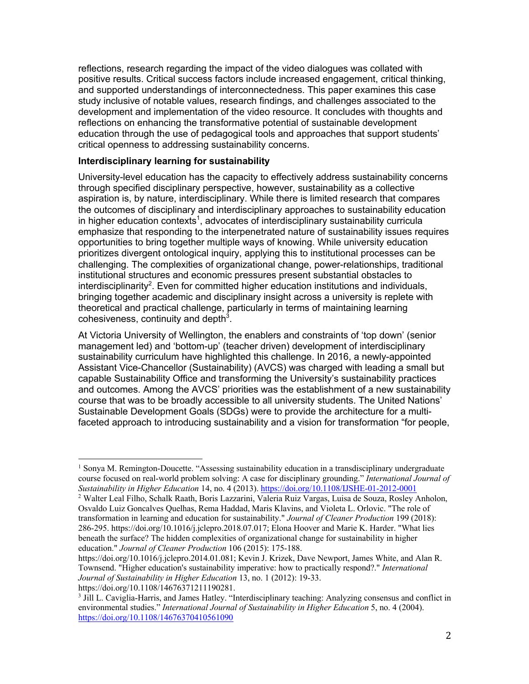reflections, research regarding the impact of the video dialogues was collated with positive results. Critical success factors include increased engagement, critical thinking, and supported understandings of interconnectedness. This paper examines this case study inclusive of notable values, research findings, and challenges associated to the development and implementation of the video resource. It concludes with thoughts and reflections on enhancing the transformative potential of sustainable development education through the use of pedagogical tools and approaches that support students' critical openness to addressing sustainability concerns.

## **Interdisciplinary learning for sustainability**

 

University-level education has the capacity to effectively address sustainability concerns through specified disciplinary perspective, however, sustainability as a collective aspiration is, by nature, interdisciplinary. While there is limited research that compares the outcomes of disciplinary and interdisciplinary approaches to sustainability education in higher education contexts<sup>1</sup>, advocates of interdisciplinary sustainability curricula emphasize that responding to the interpenetrated nature of sustainability issues requires opportunities to bring together multiple ways of knowing. While university education prioritizes divergent ontological inquiry, applying this to institutional processes can be challenging. The complexities of organizational change, power-relationships, traditional institutional structures and economic pressures present substantial obstacles to interdisciplinarity<sup>2</sup>. Even for committed higher education institutions and individuals, bringing together academic and disciplinary insight across a university is replete with theoretical and practical challenge, particularly in terms of maintaining learning cohesiveness, continuity and depth $3$ .

At Victoria University of Wellington, the enablers and constraints of 'top down' (senior management led) and 'bottom-up' (teacher driven) development of interdisciplinary sustainability curriculum have highlighted this challenge. In 2016, a newly-appointed Assistant Vice-Chancellor (Sustainability) (AVCS) was charged with leading a small but capable Sustainability Office and transforming the University's sustainability practices and outcomes. Among the AVCS' priorities was the establishment of a new sustainability course that was to be broadly accessible to all university students. The United Nations' Sustainable Development Goals (SDGs) were to provide the architecture for a multifaceted approach to introducing sustainability and a vision for transformation "for people,

<sup>&</sup>lt;sup>1</sup> Sonya M. Remington-Doucette. "Assessing sustainability education in a transdisciplinary undergraduate course focused on real‐world problem solving: A case for disciplinary grounding." *International Journal of Sustainability in Higher Education* 14, no. 4 (2013). https://doi.org/10.1108/IJSHE-01-2012-0001

<sup>2</sup> Walter Leal Filho, Schalk Raath, Boris Lazzarini, Valeria Ruiz Vargas, Luisa de Souza, Rosley Anholon, Osvaldo Luiz Goncalves Quelhas, Rema Haddad, Maris Klavins, and Violeta L. Orlovic. "The role of transformation in learning and education for sustainability." *Journal of Cleaner Production* 199 (2018): 286-295. https://doi.org/10.1016/j.jclepro.2018.07.017; Elona Hoover and Marie K. Harder. "What lies beneath the surface? The hidden complexities of organizational change for sustainability in higher education." *Journal of Cleaner Production* 106 (2015): 175-188.

https://doi.org/10.1016/j.jclepro.2014.01.081; Kevin J. Krizek, Dave Newport, James White, and Alan R. Townsend. "Higher education's sustainability imperative: how to practically respond?." *International Journal of Sustainability in Higher Education* 13, no. 1 (2012): 19-33. https://doi.org/10.1108/14676371211190281.

<sup>&</sup>lt;sup>3</sup> Jill L. Caviglia-Harris, and James Hatley. "Interdisciplinary teaching: Analyzing consensus and conflict in environmental studies." *International Journal of Sustainability in Higher Education* 5, no. 4 (2004). https://doi.org/10.1108/14676370410561090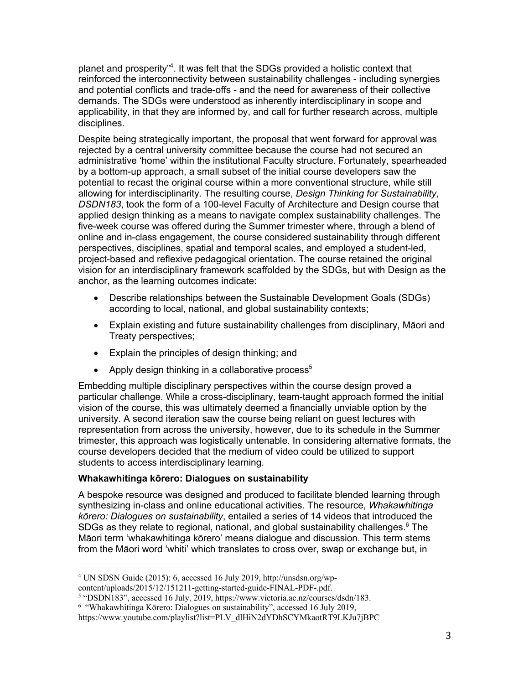planet and prosperity"<sup>4</sup>. It was felt that the SDGs provided a holistic context that reinforced the interconnectivity between sustainability challenges - including synergies and potential conflicts and trade-offs - and the need for awareness of their collective demands. The SDGs were understood as inherently interdisciplinary in scope and applicability, in that they are informed by, and call for further research across, multiple disciplines.

Despite being strategically important, the proposal that went forward for approval was rejected by a central university committee because the course had not secured an administrative 'home' within the institutional Faculty structure. Fortunately, spearheaded by a bottom-up approach, a small subset of the initial course developers saw the potential to recast the original course within a more conventional structure, while still allowing for interdisciplinarity. The resulting course, *Design Thinking for Sustainability*, *DSDN183*, took the form of a 100-level Faculty of Architecture and Design course that applied design thinking as a means to navigate complex sustainability challenges. The five-week course was offered during the Summer trimester where, through a blend of online and in-class engagement, the course considered sustainability through different perspectives, disciplines, spatial and temporal scales, and employed a student-led, project-based and reflexive pedagogical orientation. The course retained the original vision for an interdisciplinary framework scaffolded by the SDGs, but with Design as the anchor, as the learning outcomes indicate:

- Describe relationships between the Sustainable Development Goals (SDGs) according to local, national, and global sustainability contexts;
- Explain existing and future sustainability challenges from disciplinary, Māori and Treaty perspectives;
- Explain the principles of design thinking; and
- Apply design thinking in a collaborative process<sup>5</sup>

Embedding multiple disciplinary perspectives within the course design proved a particular challenge. While a cross-disciplinary, team-taught approach formed the initial vision of the course, this was ultimately deemed a financially unviable option by the university. A second iteration saw the course being reliant on guest lectures with representation from across the university, however, due to its schedule in the Summer trimester, this approach was logistically untenable. In considering alternative formats, the course developers decided that the medium of video could be utilized to support students to access interdisciplinary learning.

# **Whakawhitinga kōrero: Dialogues on sustainability**

A bespoke resource was designed and produced to facilitate blended learning through synthesizing in-class and online educational activities. The resource, *Whakawhitinga kōrero: Dialogues on sustainability*, entailed a series of 14 videos that introduced the SDGs as they relate to regional, national, and global sustainability challenges.<sup>6</sup> The Māori term 'whakawhitinga kōrero' means dialogue and discussion. This term stems from the Māori word 'whiti' which translates to cross over, swap or exchange but, in

 <sup>4</sup> UN SDSN Guide (2015): 6, accessed 16 July 2019, http://unsdsn.org/wp-

content/uploads/2015/12/151211-getting-started-guide-FINAL-PDF-.pdf.

<sup>5</sup> "DSDN183", accessed 16 July, 2019, https://www.victoria.ac.nz/courses/dsdn/183.

<sup>6</sup> "Whakawhitinga Kōrero: Dialogues on sustainability", accessed 16 July 2019,

https://www.youtube.com/playlist?list=PLV\_dlHiN2dYDhSCYMkaotRT9LKJu7jBPC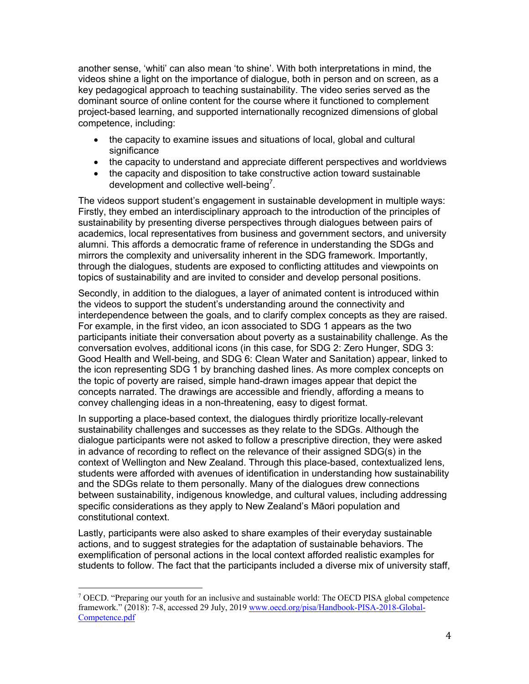another sense, 'whiti' can also mean 'to shine'. With both interpretations in mind, the videos shine a light on the importance of dialogue, both in person and on screen, as a key pedagogical approach to teaching sustainability. The video series served as the dominant source of online content for the course where it functioned to complement project-based learning, and supported internationally recognized dimensions of global competence, including:

- the capacity to examine issues and situations of local, global and cultural significance
- the capacity to understand and appreciate different perspectives and worldviews
- the capacity and disposition to take constructive action toward sustainable development and collective well-being<sup>7</sup>.

The videos support student's engagement in sustainable development in multiple ways: Firstly, they embed an interdisciplinary approach to the introduction of the principles of sustainability by presenting diverse perspectives through dialogues between pairs of academics, local representatives from business and government sectors, and university alumni. This affords a democratic frame of reference in understanding the SDGs and mirrors the complexity and universality inherent in the SDG framework. Importantly, through the dialogues, students are exposed to conflicting attitudes and viewpoints on topics of sustainability and are invited to consider and develop personal positions.

Secondly, in addition to the dialogues, a layer of animated content is introduced within the videos to support the student's understanding around the connectivity and interdependence between the goals, and to clarify complex concepts as they are raised. For example, in the first video, an icon associated to SDG 1 appears as the two participants initiate their conversation about poverty as a sustainability challenge. As the conversation evolves, additional icons (in this case, for SDG 2: Zero Hunger, SDG 3: Good Health and Well-being, and SDG 6: Clean Water and Sanitation) appear, linked to the icon representing SDG 1 by branching dashed lines. As more complex concepts on the topic of poverty are raised, simple hand-drawn images appear that depict the concepts narrated. The drawings are accessible and friendly, affording a means to convey challenging ideas in a non-threatening, easy to digest format.

In supporting a place-based context, the dialogues thirdly prioritize locally-relevant sustainability challenges and successes as they relate to the SDGs. Although the dialogue participants were not asked to follow a prescriptive direction, they were asked in advance of recording to reflect on the relevance of their assigned SDG(s) in the context of Wellington and New Zealand. Through this place-based, contextualized lens, students were afforded with avenues of identification in understanding how sustainability and the SDGs relate to them personally. Many of the dialogues drew connections between sustainability, indigenous knowledge, and cultural values, including addressing specific considerations as they apply to New Zealand's Māori population and constitutional context.

Lastly, participants were also asked to share examples of their everyday sustainable actions, and to suggest strategies for the adaptation of sustainable behaviors. The exemplification of personal actions in the local context afforded realistic examples for students to follow. The fact that the participants included a diverse mix of university staff,

 

<sup>&</sup>lt;sup>7</sup> OECD. "Preparing our youth for an inclusive and sustainable world: The OECD PISA global competence framework." (2018): 7-8, accessed 29 July, 2019 www.oecd.org/pisa/Handbook-PISA-2018-Global-Competence.pdf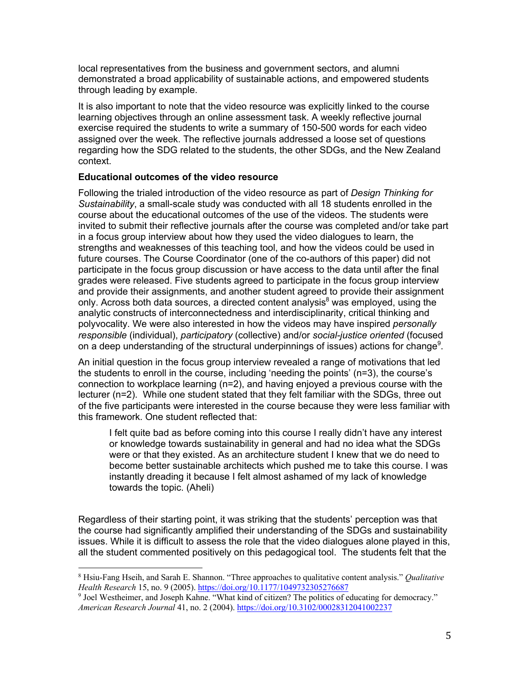local representatives from the business and government sectors, and alumni demonstrated a broad applicability of sustainable actions, and empowered students through leading by example.

It is also important to note that the video resource was explicitly linked to the course learning objectives through an online assessment task. A weekly reflective journal exercise required the students to write a summary of 150-500 words for each video assigned over the week. The reflective journals addressed a loose set of questions regarding how the SDG related to the students, the other SDGs, and the New Zealand context.

### **Educational outcomes of the video resource**

 

Following the trialed introduction of the video resource as part of *Design Thinking for Sustainability*, a small-scale study was conducted with all 18 students enrolled in the course about the educational outcomes of the use of the videos. The students were invited to submit their reflective journals after the course was completed and/or take part in a focus group interview about how they used the video dialogues to learn, the strengths and weaknesses of this teaching tool, and how the videos could be used in future courses. The Course Coordinator (one of the co-authors of this paper) did not participate in the focus group discussion or have access to the data until after the final grades were released. Five students agreed to participate in the focus group interview and provide their assignments, and another student agreed to provide their assignment only. Across both data sources, a directed content analysis $8$  was employed, using the analytic constructs of interconnectedness and interdisciplinarity, critical thinking and polyvocality. We were also interested in how the videos may have inspired *personally responsible* (individual), *participatory* (collective) and/or *social-justice oriented* (focused on a deep understanding of the structural underpinnings of issues) actions for change<sup>9</sup>.

An initial question in the focus group interview revealed a range of motivations that led the students to enroll in the course, including 'needing the points' (n=3), the course's connection to workplace learning (n=2), and having enjoyed a previous course with the lecturer (n=2). While one student stated that they felt familiar with the SDGs, three out of the five participants were interested in the course because they were less familiar with this framework. One student reflected that:

I felt quite bad as before coming into this course I really didn't have any interest or knowledge towards sustainability in general and had no idea what the SDGs were or that they existed. As an architecture student I knew that we do need to become better sustainable architects which pushed me to take this course. I was instantly dreading it because I felt almost ashamed of my lack of knowledge towards the topic. (Aheli)

Regardless of their starting point, it was striking that the students' perception was that the course had significantly amplified their understanding of the SDGs and sustainability issues. While it is difficult to assess the role that the video dialogues alone played in this, all the student commented positively on this pedagogical tool. The students felt that the

<sup>8</sup> Hsiu-Fang Hseih, and Sarah E. Shannon. "Three approaches to qualitative content analysis." *Qualitative Health Research* 15, no. 9 (2005). https://doi.org/10.1177/1049732305276687

<sup>&</sup>lt;sup>9</sup> Joel Westheimer, and Joseph Kahne. "What kind of citizen? The politics of educating for democracy." *American Research Journal* 41, no. 2 (2004). https://doi.org/10.3102/00028312041002237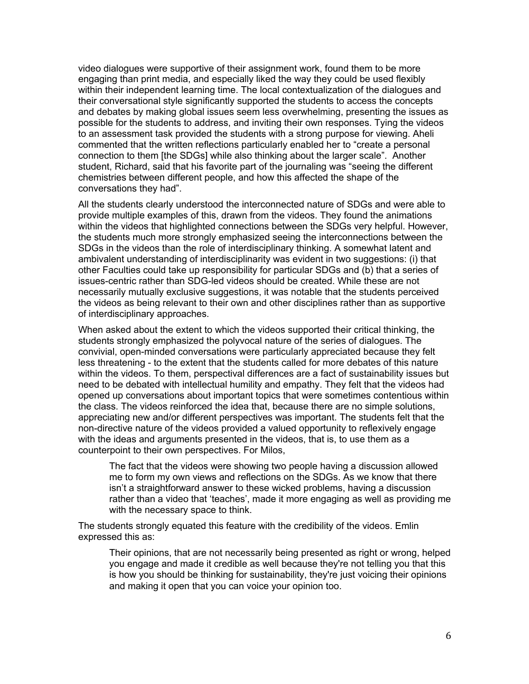video dialogues were supportive of their assignment work, found them to be more engaging than print media, and especially liked the way they could be used flexibly within their independent learning time. The local contextualization of the dialogues and their conversational style significantly supported the students to access the concepts and debates by making global issues seem less overwhelming, presenting the issues as possible for the students to address, and inviting their own responses. Tying the videos to an assessment task provided the students with a strong purpose for viewing. Aheli commented that the written reflections particularly enabled her to "create a personal connection to them [the SDGs] while also thinking about the larger scale". Another student, Richard, said that his favorite part of the journaling was "seeing the different chemistries between different people, and how this affected the shape of the conversations they had".

All the students clearly understood the interconnected nature of SDGs and were able to provide multiple examples of this, drawn from the videos. They found the animations within the videos that highlighted connections between the SDGs very helpful. However, the students much more strongly emphasized seeing the interconnections between the SDGs in the videos than the role of interdisciplinary thinking. A somewhat latent and ambivalent understanding of interdisciplinarity was evident in two suggestions: (i) that other Faculties could take up responsibility for particular SDGs and (b) that a series of issues-centric rather than SDG-led videos should be created. While these are not necessarily mutually exclusive suggestions, it was notable that the students perceived the videos as being relevant to their own and other disciplines rather than as supportive of interdisciplinary approaches.

When asked about the extent to which the videos supported their critical thinking, the students strongly emphasized the polyvocal nature of the series of dialogues. The convivial, open-minded conversations were particularly appreciated because they felt less threatening - to the extent that the students called for more debates of this nature within the videos. To them, perspectival differences are a fact of sustainability issues but need to be debated with intellectual humility and empathy. They felt that the videos had opened up conversations about important topics that were sometimes contentious within the class. The videos reinforced the idea that, because there are no simple solutions, appreciating new and/or different perspectives was important. The students felt that the non-directive nature of the videos provided a valued opportunity to reflexively engage with the ideas and arguments presented in the videos, that is, to use them as a counterpoint to their own perspectives. For Milos,

The fact that the videos were showing two people having a discussion allowed me to form my own views and reflections on the SDGs. As we know that there isn't a straightforward answer to these wicked problems, having a discussion rather than a video that 'teaches', made it more engaging as well as providing me with the necessary space to think.

The students strongly equated this feature with the credibility of the videos. Emlin expressed this as:

Their opinions, that are not necessarily being presented as right or wrong, helped you engage and made it credible as well because they're not telling you that this is how you should be thinking for sustainability, they're just voicing their opinions and making it open that you can voice your opinion too.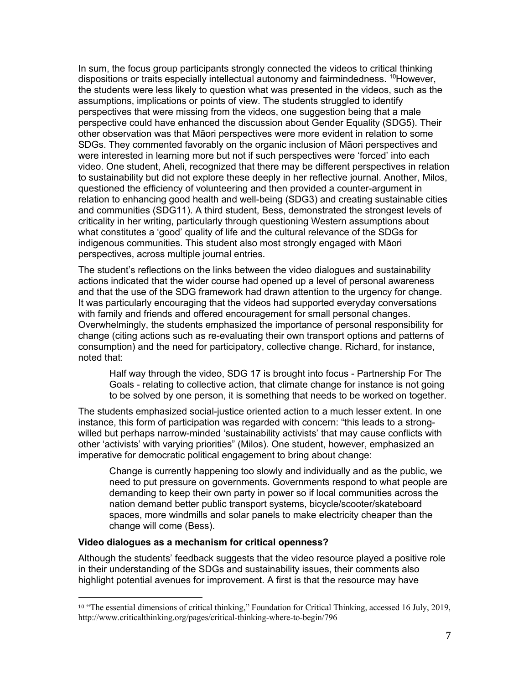In sum, the focus group participants strongly connected the videos to critical thinking dispositions or traits especially intellectual autonomy and fairmindedness. <sup>10</sup>However, the students were less likely to question what was presented in the videos, such as the assumptions, implications or points of view. The students struggled to identify perspectives that were missing from the videos, one suggestion being that a male perspective could have enhanced the discussion about Gender Equality (SDG5). Their other observation was that Māori perspectives were more evident in relation to some SDGs. They commented favorably on the organic inclusion of Māori perspectives and were interested in learning more but not if such perspectives were 'forced' into each video. One student, Aheli, recognized that there may be different perspectives in relation to sustainability but did not explore these deeply in her reflective journal. Another, Milos, questioned the efficiency of volunteering and then provided a counter-argument in relation to enhancing good health and well-being (SDG3) and creating sustainable cities and communities (SDG11). A third student, Bess, demonstrated the strongest levels of criticality in her writing, particularly through questioning Western assumptions about what constitutes a 'good' quality of life and the cultural relevance of the SDGs for indigenous communities. This student also most strongly engaged with Māori perspectives, across multiple journal entries.

The student's reflections on the links between the video dialogues and sustainability actions indicated that the wider course had opened up a level of personal awareness and that the use of the SDG framework had drawn attention to the urgency for change. It was particularly encouraging that the videos had supported everyday conversations with family and friends and offered encouragement for small personal changes. Overwhelmingly, the students emphasized the importance of personal responsibility for change (citing actions such as re-evaluating their own transport options and patterns of consumption) and the need for participatory, collective change. Richard, for instance, noted that:

Half way through the video, SDG 17 is brought into focus - Partnership For The Goals - relating to collective action, that climate change for instance is not going to be solved by one person, it is something that needs to be worked on together.

The students emphasized social-justice oriented action to a much lesser extent. In one instance, this form of participation was regarded with concern: "this leads to a strongwilled but perhaps narrow-minded 'sustainability activists' that may cause conflicts with other 'activists' with varying priorities" (Milos). One student, however, emphasized an imperative for democratic political engagement to bring about change:

Change is currently happening too slowly and individually and as the public, we need to put pressure on governments. Governments respond to what people are demanding to keep their own party in power so if local communities across the nation demand better public transport systems, bicycle/scooter/skateboard spaces, more windmills and solar panels to make electricity cheaper than the change will come (Bess).

#### **Video dialogues as a mechanism for critical openness?**

 

Although the students' feedback suggests that the video resource played a positive role in their understanding of the SDGs and sustainability issues, their comments also highlight potential avenues for improvement. A first is that the resource may have

<sup>10</sup> "The essential dimensions of critical thinking," Foundation for Critical Thinking, accessed 16 July, 2019, http://www.criticalthinking.org/pages/critical-thinking-where-to-begin/796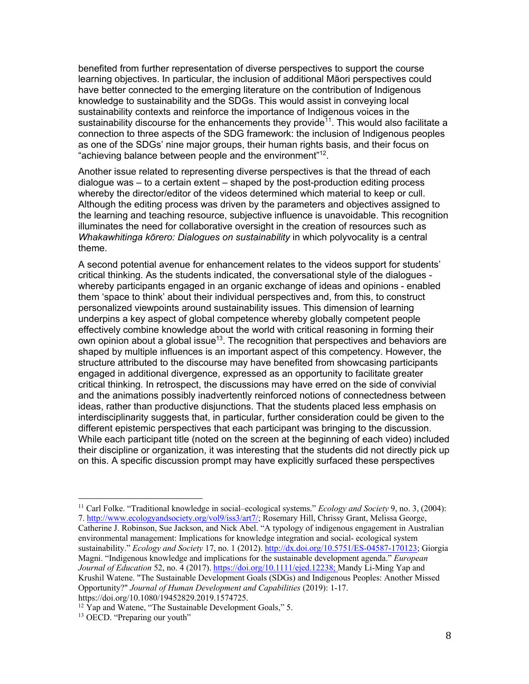benefited from further representation of diverse perspectives to support the course learning objectives. In particular, the inclusion of additional Māori perspectives could have better connected to the emerging literature on the contribution of Indigenous knowledge to sustainability and the SDGs. This would assist in conveying local sustainability contexts and reinforce the importance of Indigenous voices in the sustainability discourse for the enhancements they provide<sup> $11$ </sup>. This would also facilitate a connection to three aspects of the SDG framework: the inclusion of Indigenous peoples as one of the SDGs' nine major groups, their human rights basis, and their focus on "achieving balance between people and the environment"12.

Another issue related to representing diverse perspectives is that the thread of each dialogue was – to a certain extent – shaped by the post-production editing process whereby the director/editor of the videos determined which material to keep or cull. Although the editing process was driven by the parameters and objectives assigned to the learning and teaching resource, subjective influence is unavoidable. This recognition illuminates the need for collaborative oversight in the creation of resources such as *Whakawhitinga kōrero: Dialogues on sustainability* in which polyvocality is a central theme.

A second potential avenue for enhancement relates to the videos support for students' critical thinking. As the students indicated, the conversational style of the dialogues whereby participants engaged in an organic exchange of ideas and opinions - enabled them 'space to think' about their individual perspectives and, from this, to construct personalized viewpoints around sustainability issues. This dimension of learning underpins a key aspect of global competence whereby globally competent people effectively combine knowledge about the world with critical reasoning in forming their own opinion about a global issue<sup>13</sup>. The recognition that perspectives and behaviors are shaped by multiple influences is an important aspect of this competency. However, the structure attributed to the discourse may have benefited from showcasing participants engaged in additional divergence, expressed as an opportunity to facilitate greater critical thinking. In retrospect, the discussions may have erred on the side of convivial and the animations possibly inadvertently reinforced notions of connectedness between ideas, rather than productive disjunctions. That the students placed less emphasis on interdisciplinarity suggests that, in particular, further consideration could be given to the different epistemic perspectives that each participant was bringing to the discussion. While each participant title (noted on the screen at the beginning of each video) included their discipline or organization, it was interesting that the students did not directly pick up on this. A specific discussion prompt may have explicitly surfaced these perspectives

 

<sup>11</sup> Carl Folke. "Traditional knowledge in social–ecological systems." *Ecology and Society* 9, no. 3, (2004): 7. http://www.ecologyandsociety.org/vol9/iss3/art7/; Rosemary Hill, Chrissy Grant, Melissa George, Catherine J. Robinson, Sue Jackson, and Nick Abel. "A typology of indigenous engagement in Australian environmental management: Implications for knowledge integration and social- ecological system sustainability." *Ecology and Society* 17, no. 1 (2012). http://dx.doi.org/10.5751/ES-04587-170123; Giorgia Magni. "Indigenous knowledge and implications for the sustainable development agenda." *European Journal of Education* 52, no. 4 (2017). https://doi.org/10.1111/ejed.12238; Mandy Li-Ming Yap and Krushil Watene. "The Sustainable Development Goals (SDGs) and Indigenous Peoples: Another Missed Opportunity?" *Journal of Human Development and Capabilities* (2019): 1-17. https://doi.org/10.1080/19452829.2019.1574725.

<sup>&</sup>lt;sup>12</sup> Yap and Watene, "The Sustainable Development Goals," 5.

<sup>&</sup>lt;sup>13</sup> OECD. "Preparing our youth"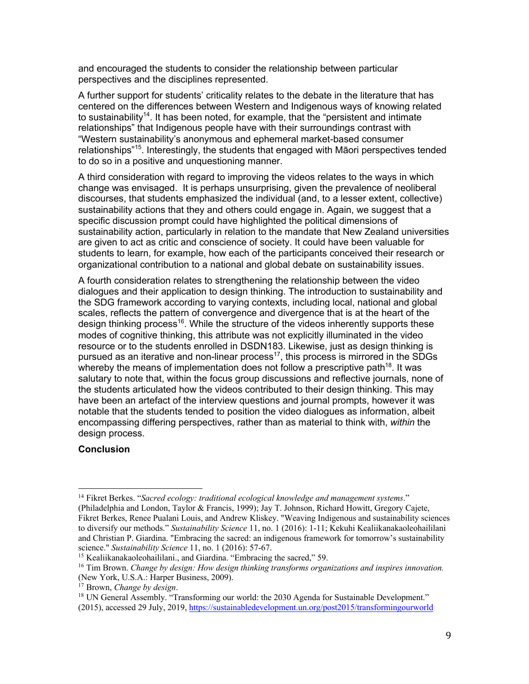and encouraged the students to consider the relationship between particular perspectives and the disciplines represented.

A further support for students' criticality relates to the debate in the literature that has centered on the differences between Western and Indigenous ways of knowing related to sustainability<sup>14</sup>. It has been noted, for example, that the "persistent and intimate relationships" that Indigenous people have with their surroundings contrast with "Western sustainability's anonymous and ephemeral market-based consumer relationships"15. Interestingly, the students that engaged with Māori perspectives tended to do so in a positive and unquestioning manner.

A third consideration with regard to improving the videos relates to the ways in which change was envisaged. It is perhaps unsurprising, given the prevalence of neoliberal discourses, that students emphasized the individual (and, to a lesser extent, collective) sustainability actions that they and others could engage in. Again, we suggest that a specific discussion prompt could have highlighted the political dimensions of sustainability action, particularly in relation to the mandate that New Zealand universities are given to act as critic and conscience of society. It could have been valuable for students to learn, for example, how each of the participants conceived their research or organizational contribution to a national and global debate on sustainability issues.

A fourth consideration relates to strengthening the relationship between the video dialogues and their application to design thinking. The introduction to sustainability and the SDG framework according to varying contexts, including local, national and global scales, reflects the pattern of convergence and divergence that is at the heart of the design thinking process<sup>16</sup>. While the structure of the videos inherently supports these modes of cognitive thinking, this attribute was not explicitly illuminated in the video resource or to the students enrolled in DSDN183. Likewise, just as design thinking is pursued as an iterative and non-linear process<sup>17</sup>, this process is mirrored in the SDGs whereby the means of implementation does not follow a prescriptive path $18$ . It was salutary to note that, within the focus group discussions and reflective journals, none of the students articulated how the videos contributed to their design thinking. This may have been an artefact of the interview questions and journal prompts, however it was notable that the students tended to position the video dialogues as information, albeit encompassing differing perspectives, rather than as material to think with, *within* the design process.

### **Conclusion**

 

<sup>14</sup> Fikret Berkes. "*Sacred ecology: traditional ecological knowledge and management systems*." (Philadelphia and London, Taylor & Francis, 1999); Jay T. Johnson, Richard Howitt, Gregory Cajete, Fikret Berkes, Renee Pualani Louis, and Andrew Kliskey. "Weaving Indigenous and sustainability sciences to diversify our methods." *Sustainability Science* 11, no. 1 (2016): 1-11; Kekuhi Kealiikanakaoleohaililani and Christian P. Giardina. "Embracing the sacred: an indigenous framework for tomorrow's sustainability science." *Sustainability Science* 11, no. 1 (2016): 57-67.

<sup>&</sup>lt;sup>15</sup> Kealiikanakaoleohaililani., and Giardina. "Embracing the sacred," 59.

<sup>16</sup> Tim Brown. *Change by design: How design thinking transforms organizations and inspires innovation.* (New York, U.S.A.: Harper Business, 2009).

<sup>17</sup> Brown, *Change by design*.

<sup>&</sup>lt;sup>18</sup> UN General Assembly. "Transforming our world: the 2030 Agenda for Sustainable Development." (2015), accessed 29 July, 2019, https://sustainabledevelopment.un.org/post2015/transformingourworld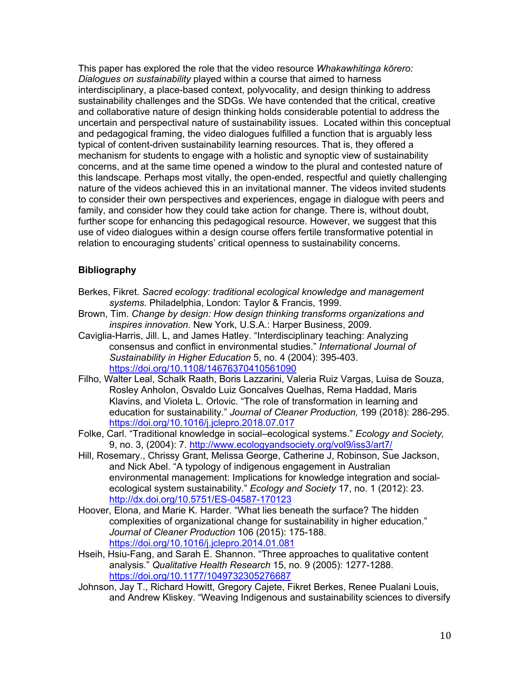This paper has explored the role that the video resource *Whakawhitinga kōrero: Dialogues on sustainability* played within a course that aimed to harness interdisciplinary, a place-based context, polyvocality, and design thinking to address sustainability challenges and the SDGs. We have contended that the critical, creative and collaborative nature of design thinking holds considerable potential to address the uncertain and perspectival nature of sustainability issues. Located within this conceptual and pedagogical framing, the video dialogues fulfilled a function that is arguably less typical of content-driven sustainability learning resources. That is, they offered a mechanism for students to engage with a holistic and synoptic view of sustainability concerns, and at the same time opened a window to the plural and contested nature of this landscape. Perhaps most vitally, the open-ended, respectful and quietly challenging nature of the videos achieved this in an invitational manner. The videos invited students to consider their own perspectives and experiences, engage in dialogue with peers and family, and consider how they could take action for change. There is, without doubt, further scope for enhancing this pedagogical resource. However, we suggest that this use of video dialogues within a design course offers fertile transformative potential in relation to encouraging students' critical openness to sustainability concerns.

## **Bibliography**

- Berkes, Fikret. *Sacred ecology: traditional ecological knowledge and management systems.* Philadelphia, London: Taylor & Francis, 1999.
- Brown, Tim. *Change by design: How design thinking transforms organizations and inspires innovation.* New York, U.S.A.: Harper Business, 2009.
- Caviglia-Harris, Jill. L, and James Hatley. "Interdisciplinary teaching: Analyzing consensus and conflict in environmental studies." *International Journal of Sustainability in Higher Education* 5, no. 4 (2004): 395-403. https://doi.org/10.1108/14676370410561090
- Filho, Walter Leal, Schalk Raath, Boris Lazzarini, Valeria Ruiz Vargas, Luisa de Souza, Rosley Anholon, Osvaldo Luiz Goncalves Quelhas, Rema Haddad, Maris Klavins, and Violeta L. Orlovic. "The role of transformation in learning and education for sustainability." *Journal of Cleaner Production,* 199 (2018): 286-295. https://doi.org/10.1016/j.jclepro.2018.07.017
- Folke, Carl. "Traditional knowledge in social–ecological systems." *Ecology and Society,* 9, no. 3, (2004): 7. http://www.ecologyandsociety.org/vol9/iss3/art7/
- Hill, Rosemary., Chrissy Grant, Melissa George, Catherine J, Robinson, Sue Jackson, and Nick Abel. "A typology of indigenous engagement in Australian environmental management: Implications for knowledge integration and socialecological system sustainability." *Ecology and Society* 17, no. 1 (2012): 23. http://dx.doi.org/10.5751/ES-04587-170123
- Hoover, Elona, and Marie K. Harder. "What lies beneath the surface? The hidden complexities of organizational change for sustainability in higher education." *Journal of Cleaner Production* 106 (2015): 175-188. https://doi.org/10.1016/j.jclepro.2014.01.081
- Hseih, Hsiu-Fang, and Sarah E. Shannon. "Three approaches to qualitative content analysis." *Qualitative Health Research* 15, no. 9 (2005): 1277-1288. https://doi.org/10.1177/1049732305276687
- Johnson, Jay T., Richard Howitt, Gregory Cajete, Fikret Berkes, Renee Pualani Louis, and Andrew Kliskey. "Weaving Indigenous and sustainability sciences to diversify